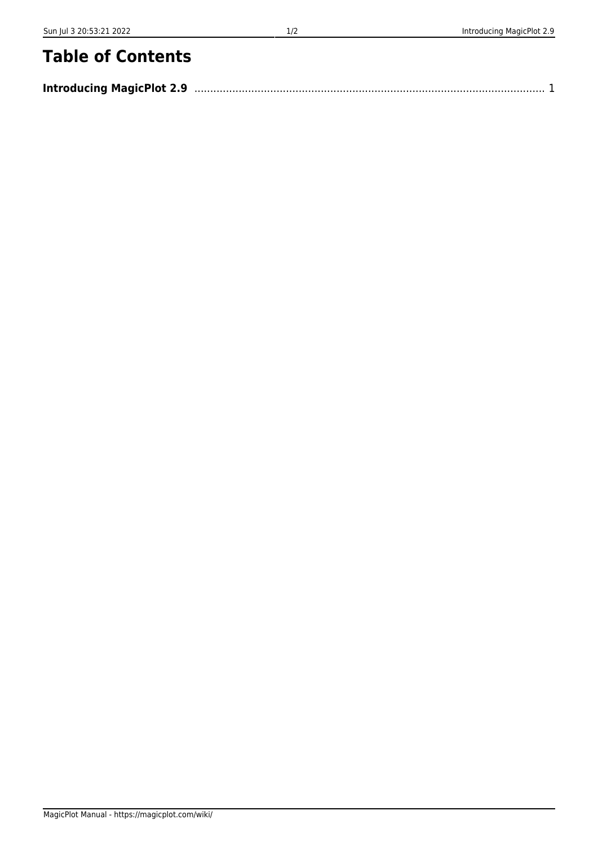## **Table of Contents**

| <b>Introducing MagicPlot 2.9</b> |  |  |
|----------------------------------|--|--|
|----------------------------------|--|--|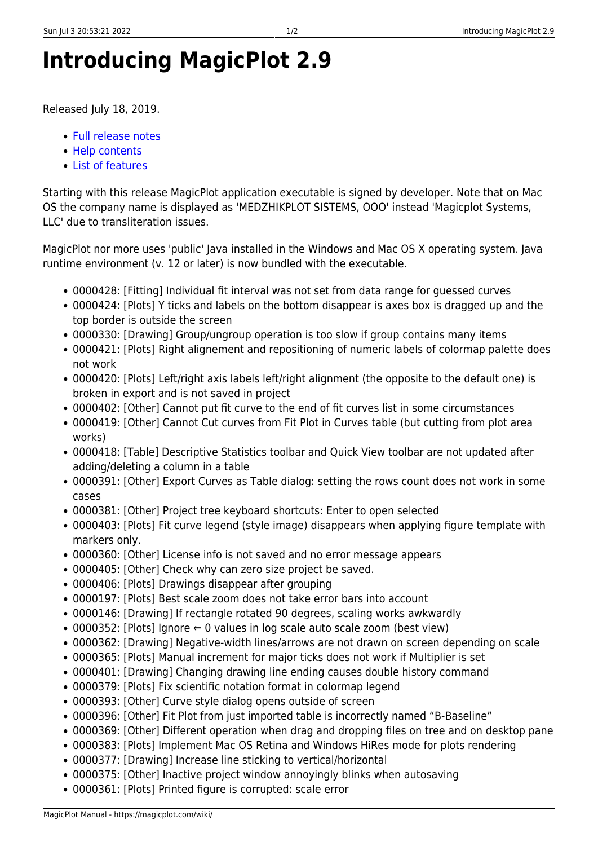## <span id="page-2-0"></span>**Introducing MagicPlot 2.9**

Released July 18, 2019.

- [Full release notes](https://magicplot.com/wiki/release_notes)
- [Help contents](https://magicplot.com/wiki/magicplot_wiki_home)
- [List of features](https://magicplot.com/wiki/comparison)

Starting with this release MagicPlot application executable is signed by developer. Note that on Mac OS the company name is displayed as 'MEDZHIKPLOT SISTEMS, OOO' instead 'Magicplot Systems, LLC' due to transliteration issues.

MagicPlot nor more uses 'public' Java installed in the Windows and Mac OS X operating system. Java runtime environment (v. 12 or later) is now bundled with the executable.

- 0000428: [Fitting] Individual fit interval was not set from data range for guessed curves
- 0000424: [Plots] Y ticks and labels on the bottom disappear is axes box is dragged up and the top border is outside the screen
- 0000330: [Drawing] Group/ungroup operation is too slow if group contains many items
- 0000421: [Plots] Right alignement and repositioning of numeric labels of colormap palette does not work
- 0000420: [Plots] Left/right axis labels left/right alignment (the opposite to the default one) is broken in export and is not saved in project
- 0000402: [Other] Cannot put fit curve to the end of fit curves list in some circumstances
- 0000419: [Other] Cannot Cut curves from Fit Plot in Curves table (but cutting from plot area works)
- 0000418: [Table] Descriptive Statistics toolbar and Quick View toolbar are not updated after adding/deleting a column in a table
- 0000391: [Other] Export Curves as Table dialog: setting the rows count does not work in some cases
- 0000381: [Other] Project tree keyboard shortcuts: Enter to open selected
- 0000403: [Plots] Fit curve legend (style image) disappears when applying figure template with markers only.
- 0000360: [Other] License info is not saved and no error message appears
- 0000405: [Other] Check why can zero size project be saved.
- 0000406: [Plots] Drawings disappear after grouping
- 0000197: [Plots] Best scale zoom does not take error bars into account
- 0000146: [Drawing] If rectangle rotated 90 degrees, scaling works awkwardly
- 0000352: [Plots] Ignore  $\Leftarrow$  0 values in log scale auto scale zoom (best view)
- 0000362: [Drawing] Negative-width lines/arrows are not drawn on screen depending on scale
- 0000365: [Plots] Manual increment for major ticks does not work if Multiplier is set
- 0000401: [Drawing] Changing drawing line ending causes double history command
- 0000379: [Plots] Fix scientific notation format in colormap legend
- 0000393: [Other] Curve style dialog opens outside of screen
- 0000396: [Other] Fit Plot from just imported table is incorrectly named "B-Baseline"
- 0000369: [Other] Different operation when drag and dropping files on tree and on desktop pane
- 0000383: [Plots] Implement Mac OS Retina and Windows HiRes mode for plots rendering
- 0000377: [Drawing] Increase line sticking to vertical/horizontal
- 0000375: [Other] Inactive project window annoyingly blinks when autosaving
- 0000361: [Plots] Printed figure is corrupted: scale error